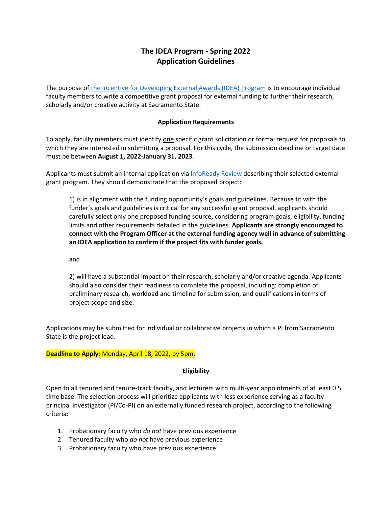# **The IDEA Program - Spring 2022 Application Guidelines**

The purpose of [the Incentive for Developing External Awards \(IDEA\) Program](https://csus.infoready4.com/#competitionDetail/1863120) is to encourage individual faculty members to write a competitive grant proposal for external funding to further their research, scholarly and/or creative activity at Sacramento State.

## **Application Requirements**

To apply, faculty members must identify one specific grant solicitation or formal request for proposals to which they are interested in submitting a proposal. For this cycle, the submission deadline or target date must be between **August 1, 2022-January 31, 2023**.

Applicants must submit an internal application vi[a InfoReady Review](https://csus.infoready4.com/#competitionDetail/1863120) describing their selected external grant program. They should demonstrate that the proposed project:

1) is in alignment with the funding opportunity's goals and guidelines. Because fit with the funder's goals and guidelines is critical for any successful grant proposal, applicants should carefully select only one proposed funding source, considering program goals, eligibility, funding limits and other requirements detailed in the guidelines. **Applicants are strongly encouraged to connect with the Program Officer at the external funding agency well in advance of submitting an IDEA application to confirm if the project fits with funder goals.**

and

2) will have a substantial impact on their research, scholarly and/or creative agenda. Applicants should also consider their readiness to complete the proposal, including: completion of preliminary research, workload and timeline for submission, and qualifications in terms of project scope and size.

Applications may be submitted for individual or collaborative projects in which a PI from Sacramento State is the project lead.

## **Deadline to Apply:** Monday, April 18, 2022, by 5pm.

## **Eligibility**

Open to all tenured and tenure-track faculty, and lecturers with multi-year appointments of at least 0.5 time base. The selection process will prioritize applicants with less experience serving as a faculty principal investigator (PI/Co-PI) on an externally funded research project, according to the following criteria:

- 1. Probationary faculty who *do not* have previous experience
- 2. Tenured faculty who *do not* have previous experience
- 3. Probationary faculty who have previous experience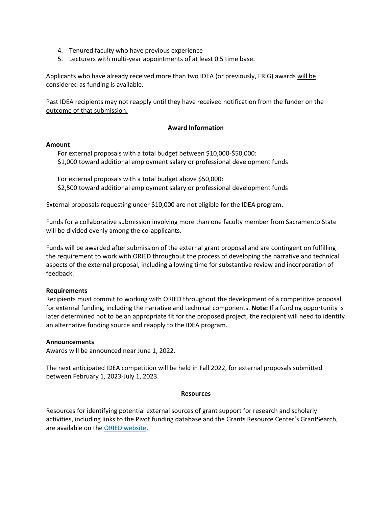- 4. Tenured faculty who have previous experience
- 5. Lecturers with multi-year appointments of at least 0.5 time base.

Applicants who have already received more than two IDEA (or previously, FRIG) awards will be considered as funding is available.

Past IDEA recipients may not reapply until they have received notification from the funder on the outcome of that submission.

### **Award Information**

#### **Amount**

For external proposals with a total budget between \$10,000-\$50,000: \$1,000 toward additional employment salary or professional development funds

For external proposals with a total budget above \$50,000: \$2,500 toward additional employment salary or professional development funds

External proposals requesting under \$10,000 are not eligible for the IDEA program.

Funds for a collaborative submission involving more than one faculty member from Sacramento State will be divided evenly among the co-applicants.

Funds will be awarded after submission of the external grant proposal and are contingent on fulfilling the requirement to work with ORIED throughout the process of developing the narrative and technical aspects of the external proposal, including allowing time for substantive review and incorporation of feedback.

### **Requirements**

Recipients must commit to working with ORIED throughout the development of a competitive proposal for external funding, including the narrative and technical components. **Note:** If a funding opportunity is later determined not to be an appropriate fit for the proposed project, the recipient will need to identify an alternative funding source and reapply to the IDEA program.

### **Announcements**

Awards will be announced near June 1, 2022.

The next anticipated IDEA competition will be held in Fall 2022, for external proposals submitted between February 1, 2023-July 1, 2023.

#### **Resources**

Resources for identifying potential external sources of grant support for research and scholarly activities, including links to the Pivot funding database and the Grants Resource Center's GrantSearch, are available on th[e ORIED website.](https://www.csus.edu/experience/innovation-creativity/oried/find-funding.html)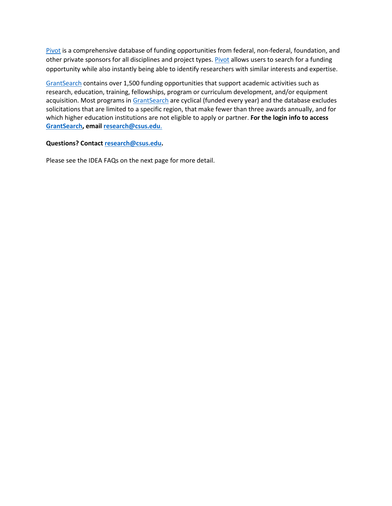[Pivot](https://pivot.proquest.com/funding_main) is a comprehensive database of funding opportunities from federal, non-federal, foundation, and other private sponsors for all disciplines and project types[. Pivot](https://pivot.proquest.com/funding_main) allows users to search for a funding opportunity while also instantly being able to identify researchers with similar interests and expertise.

[GrantSearch](https://aascu.org/grc/Login.aspx?returnUrl=https://aascu.org/GRC/gs/Default.aspx) contains over 1,500 funding opportunities that support academic activities such as research, education, training, fellowships, program or curriculum development, and/or equipment acquisition. Most programs i[n GrantSearch](https://aascu.org/grc/Login.aspx?returnUrl=https://aascu.org/GRC/gs/Default.aspx) are cyclical (funded every year) and the database excludes solicitations that are limited to a specific region, that make fewer than three awards annually, and for which higher education institutions are not eligible to apply or partner. **For the login info to access [GrantSearch,](https://aascu.org/grc/Login.aspx?returnUrl=https://aascu.org/GRC/gs/Default.aspx) email [research@csus.edu](mailto:research@csus.edu)**.

## **Questions? Contact [research@csus.edu.](mailto:research@csus.edu)**

Please see the IDEA FAQs on the next page for more detail.